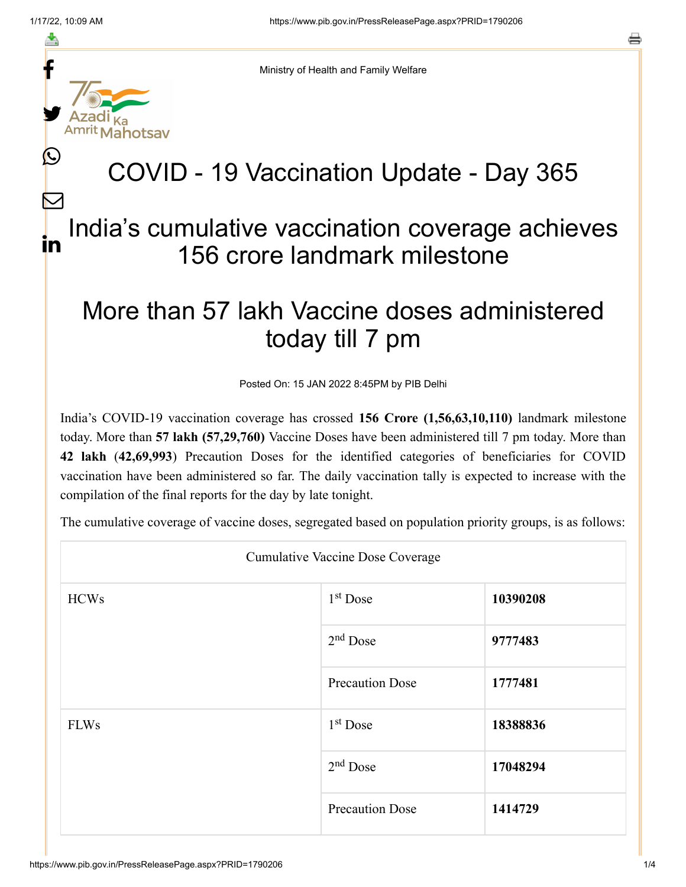≛

 $\bm{\nabla}$ 

o



Ministry of Health and Family Welfare

## COVID - 19 Vaccination Update - Day 365

## India's cumulative vaccination coverage achieves 156 crore landmark milestone in

## More than 57 lakh Vaccine doses administered today till 7 pm

Posted On: 15 JAN 2022 8:45PM by PIB Delhi

India's COVID-19 vaccination coverage has crossed **156 Crore (1,56,63,10,110)** landmark milestone today. More than **57 lakh (57,29,760)** Vaccine Doses have been administered till 7 pm today. More than **42 lakh** (**42,69,993**) Precaution Doses for the identified categories of beneficiaries for COVID vaccination have been administered so far. The daily vaccination tally is expected to increase with the compilation of the final reports for the day by late tonight.

The cumulative coverage of vaccine doses, segregated based on population priority groups, is as follows:

| <b>Cumulative Vaccine Dose Coverage</b> |                        |          |  |  |
|-----------------------------------------|------------------------|----------|--|--|
| <b>HCWs</b>                             | $1st$ Dose             | 10390208 |  |  |
|                                         | $2nd$ Dose             | 9777483  |  |  |
|                                         | <b>Precaution Dose</b> | 1777481  |  |  |
| <b>FLWs</b>                             | $1st$ Dose             | 18388836 |  |  |
|                                         | $2nd$ Dose             | 17048294 |  |  |
|                                         | <b>Precaution Dose</b> | 1414729  |  |  |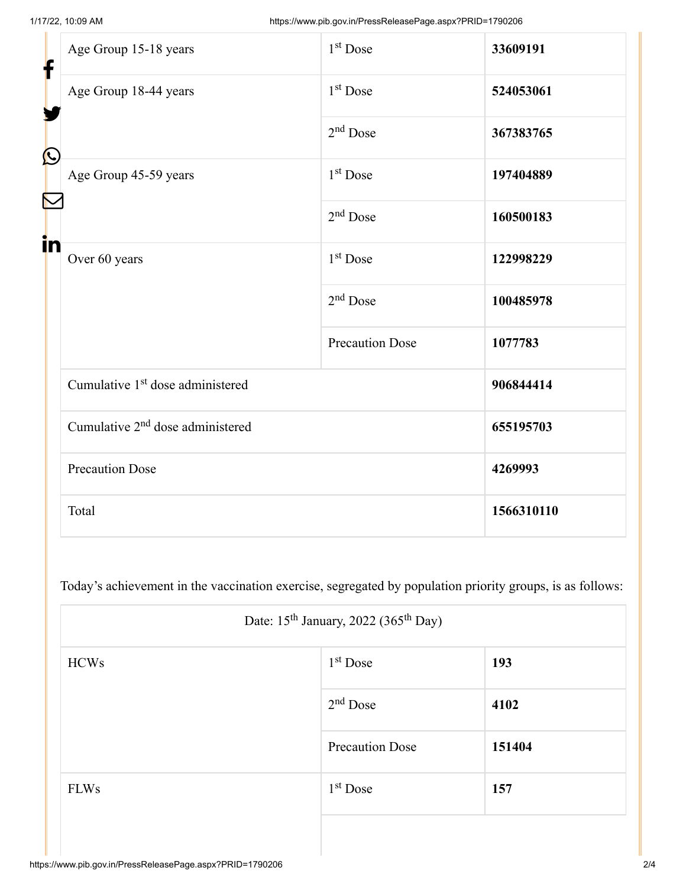Г

| f<br>$\bf \Omega$ | Age Group 15-18 years                        | $1st$ Dose             | 33609191   |
|-------------------|----------------------------------------------|------------------------|------------|
|                   | Age Group 18-44 years                        | 1 <sup>st</sup> Dose   | 524053061  |
|                   |                                              | $2nd$ Dose             | 367383765  |
|                   | Age Group 45-59 years                        | $1st$ Dose             | 197404889  |
|                   |                                              | $2nd$ Dose             | 160500183  |
| in                | Over 60 years                                | 1 <sup>st</sup> Dose   | 122998229  |
|                   |                                              | $2nd$ Dose             | 100485978  |
|                   |                                              | <b>Precaution Dose</b> | 1077783    |
|                   | Cumulative 1 <sup>st</sup> dose administered |                        | 906844414  |
|                   | Cumulative 2 <sup>nd</sup> dose administered |                        | 655195703  |
|                   | <b>Precaution Dose</b>                       |                        | 4269993    |
|                   | Total                                        |                        | 1566310110 |

Today's achievement in the vaccination exercise, segregated by population priority groups, is as follows:

| Date: $15^{th}$ January, 2022 (365 <sup>th</sup> Day) |                        |        |  |
|-------------------------------------------------------|------------------------|--------|--|
| <b>HCWs</b>                                           | $1st$ Dose             | 193    |  |
|                                                       | $2nd$ Dose             | 4102   |  |
|                                                       | <b>Precaution Dose</b> | 151404 |  |
| <b>FLWs</b>                                           | $1st$ Dose             | 157    |  |
|                                                       |                        |        |  |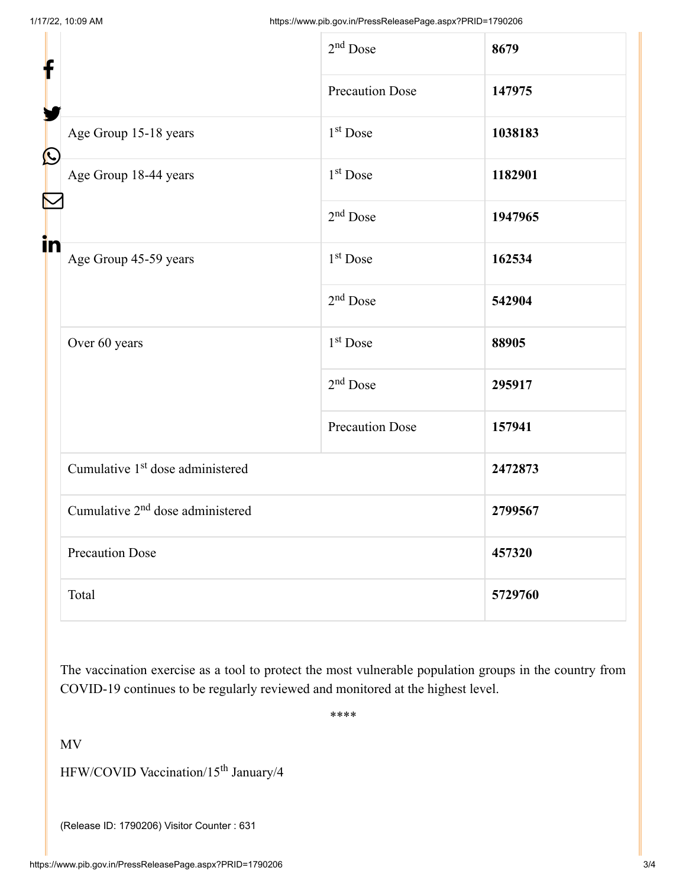| f            |                                              | $2nd$ Dose             | 8679    |
|--------------|----------------------------------------------|------------------------|---------|
|              |                                              | <b>Precaution Dose</b> | 147975  |
| $\bf \Omega$ | Age Group 15-18 years                        | 1 <sup>st</sup> Dose   | 1038183 |
|              | Age Group 18-44 years                        | 1 <sup>st</sup> Dose   | 1182901 |
|              |                                              | $2nd$ Dose             | 1947965 |
| in           | Age Group 45-59 years                        | $1st$ Dose             | 162534  |
|              |                                              | $2nd$ Dose             | 542904  |
|              | Over 60 years                                | 1 <sup>st</sup> Dose   | 88905   |
|              |                                              | $2nd$ Dose             | 295917  |
|              |                                              | <b>Precaution Dose</b> | 157941  |
|              | Cumulative 1 <sup>st</sup> dose administered |                        | 2472873 |
|              | Cumulative 2 <sup>nd</sup> dose administered |                        | 2799567 |
|              | <b>Precaution Dose</b>                       |                        | 457320  |
|              | Total                                        |                        | 5729760 |

The vaccination exercise as a tool to protect the most vulnerable population groups in the country from COVID-19 continues to be regularly reviewed and monitored at the highest level.

\*\*\*\*

MV

HFW/COVID Vaccination/15<sup>th</sup> January/4

(Release ID: 1790206) Visitor Counter : 631